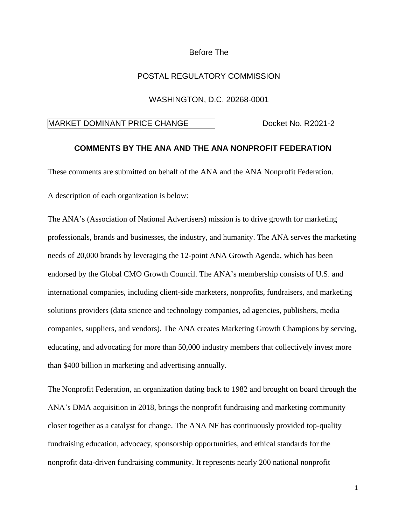# Before The

### POSTAL REGULATORY COMMISSION

#### WASHINGTON, D.C. 20268-0001

# MARKET DOMINANT PRICE CHANGE Docket No. R2021-2

### **COMMENTS BY THE ANA AND THE ANA NONPROFIT FEDERATION**

These comments are submitted on behalf of the ANA and the ANA Nonprofit Federation.

A description of each organization is below:

The ANA's (Association of National Advertisers) mission is to drive growth for marketing professionals, brands and businesses, the industry, and humanity. The ANA serves the marketing needs of 20,000 brands by leveraging the 12-point ANA Growth Agenda, which has been endorsed by the Global CMO Growth Council. The ANA's membership consists of U.S. and international companies, including client-side marketers, nonprofits, fundraisers, and marketing solutions providers (data science and technology companies, ad agencies, publishers, media companies, suppliers, and vendors). The ANA creates Marketing Growth Champions by serving, educating, and advocating for more than 50,000 industry members that collectively invest more than \$400 billion in marketing and advertising annually.

The Nonprofit Federation, an organization dating back to 1982 and brought on board through the ANA's DMA acquisition in 2018, brings the nonprofit fundraising and marketing community closer together as a catalyst for change. The ANA NF has continuously provided top-quality fundraising education, advocacy, sponsorship opportunities, and ethical standards for the nonprofit data-driven fundraising community. It represents nearly 200 national nonprofit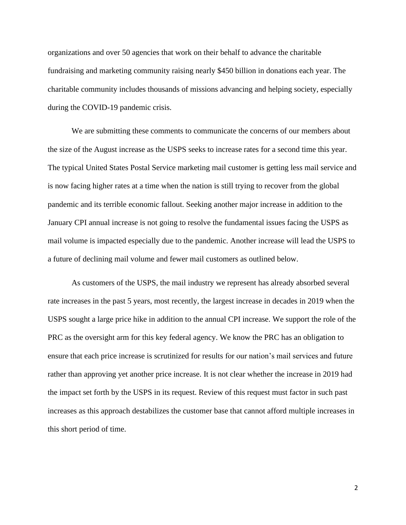organizations and over 50 agencies that work on their behalf to advance the charitable fundraising and marketing community raising nearly \$450 billion in donations each year. The charitable community includes thousands of missions advancing and helping society, especially during the COVID-19 pandemic crisis.

We are submitting these comments to communicate the concerns of our members about the size of the August increase as the USPS seeks to increase rates for a second time this year. The typical United States Postal Service marketing mail customer is getting less mail service and is now facing higher rates at a time when the nation is still trying to recover from the global pandemic and its terrible economic fallout. Seeking another major increase in addition to the January CPI annual increase is not going to resolve the fundamental issues facing the USPS as mail volume is impacted especially due to the pandemic. Another increase will lead the USPS to a future of declining mail volume and fewer mail customers as outlined below.

As customers of the USPS, the mail industry we represent has already absorbed several rate increases in the past 5 years, most recently, the largest increase in decades in 2019 when the USPS sought a large price hike in addition to the annual CPI increase. We support the role of the PRC as the oversight arm for this key federal agency. We know the PRC has an obligation to ensure that each price increase is scrutinized for results for our nation's mail services and future rather than approving yet another price increase. It is not clear whether the increase in 2019 had the impact set forth by the USPS in its request. Review of this request must factor in such past increases as this approach destabilizes the customer base that cannot afford multiple increases in this short period of time.

2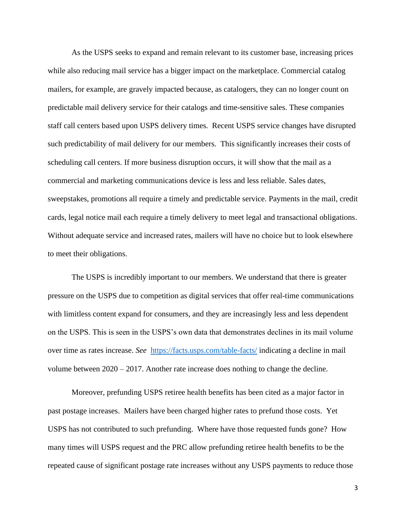As the USPS seeks to expand and remain relevant to its customer base, increasing prices while also reducing mail service has a bigger impact on the marketplace. Commercial catalog mailers, for example, are gravely impacted because, as catalogers, they can no longer count on predictable mail delivery service for their catalogs and time-sensitive sales. These companies staff call centers based upon USPS delivery times. Recent USPS service changes have disrupted such predictability of mail delivery for our members. This significantly increases their costs of scheduling call centers. If more business disruption occurs, it will show that the mail as a commercial and marketing communications device is less and less reliable. Sales dates, sweepstakes, promotions all require a timely and predictable service. Payments in the mail, credit cards, legal notice mail each require a timely delivery to meet legal and transactional obligations. Without adequate service and increased rates, mailers will have no choice but to look elsewhere to meet their obligations.

The USPS is incredibly important to our members. We understand that there is greater pressure on the USPS due to competition as digital services that offer real-time communications with limitless content expand for consumers, and they are increasingly less and less dependent on the USPS. This is seen in the USPS's own data that demonstrates declines in its mail volume over time as rates increase. *See* <https://facts.usps.com/table-facts/> indicating a decline in mail volume between 2020 – 2017. Another rate increase does nothing to change the decline.

Moreover, prefunding USPS retiree health benefits has been cited as a major factor in past postage increases. Mailers have been charged higher rates to prefund those costs. Yet USPS has not contributed to such prefunding. Where have those requested funds gone? How many times will USPS request and the PRC allow prefunding retiree health benefits to be the repeated cause of significant postage rate increases without any USPS payments to reduce those

3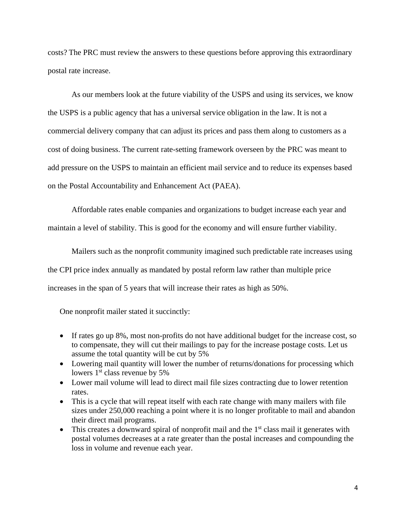costs? The PRC must review the answers to these questions before approving this extraordinary postal rate increase.

As our members look at the future viability of the USPS and using its services, we know the USPS is a public agency that has a universal service obligation in the law. It is not a commercial delivery company that can adjust its prices and pass them along to customers as a cost of doing business. The current rate-setting framework overseen by the PRC was meant to add pressure on the USPS to maintain an efficient mail service and to reduce its expenses based on the Postal Accountability and Enhancement Act (PAEA).

Affordable rates enable companies and organizations to budget increase each year and maintain a level of stability. This is good for the economy and will ensure further viability.

Mailers such as the nonprofit community imagined such predictable rate increases using the CPI price index annually as mandated by postal reform law rather than multiple price increases in the span of 5 years that will increase their rates as high as 50%.

One nonprofit mailer stated it succinctly:

- If rates go up 8%, most non-profits do not have additional budget for the increase cost, so to compensate, they will cut their mailings to pay for the increase postage costs. Let us assume the total quantity will be cut by 5%
- Lowering mail quantity will lower the number of returns/donations for processing which lowers  $1<sup>st</sup>$  class revenue by 5%
- Lower mail volume will lead to direct mail file sizes contracting due to lower retention rates.
- This is a cycle that will repeat itself with each rate change with many mailers with file sizes under 250,000 reaching a point where it is no longer profitable to mail and abandon their direct mail programs.
- This creates a downward spiral of nonprofit mail and the  $1<sup>st</sup>$  class mail it generates with postal volumes decreases at a rate greater than the postal increases and compounding the loss in volume and revenue each year.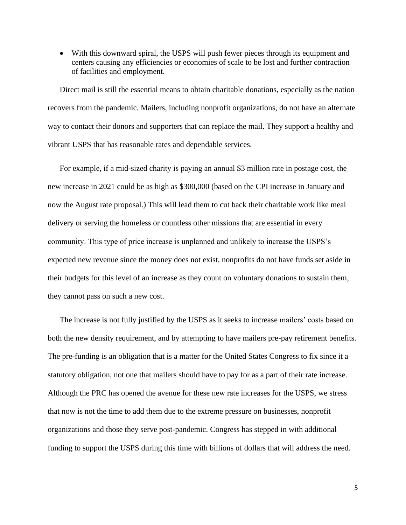• With this downward spiral, the USPS will push fewer pieces through its equipment and centers causing any efficiencies or economies of scale to be lost and further contraction of facilities and employment.

Direct mail is still the essential means to obtain charitable donations, especially as the nation recovers from the pandemic. Mailers, including nonprofit organizations, do not have an alternate way to contact their donors and supporters that can replace the mail. They support a healthy and vibrant USPS that has reasonable rates and dependable services.

For example, if a mid-sized charity is paying an annual \$3 million rate in postage cost, the new increase in 2021 could be as high as \$300,000 (based on the CPI increase in January and now the August rate proposal.) This will lead them to cut back their charitable work like meal delivery or serving the homeless or countless other missions that are essential in every community. This type of price increase is unplanned and unlikely to increase the USPS's expected new revenue since the money does not exist, nonprofits do not have funds set aside in their budgets for this level of an increase as they count on voluntary donations to sustain them, they cannot pass on such a new cost.

The increase is not fully justified by the USPS as it seeks to increase mailers' costs based on both the new density requirement, and by attempting to have mailers pre-pay retirement benefits. The pre-funding is an obligation that is a matter for the United States Congress to fix since it a statutory obligation, not one that mailers should have to pay for as a part of their rate increase. Although the PRC has opened the avenue for these new rate increases for the USPS, we stress that now is not the time to add them due to the extreme pressure on businesses, nonprofit organizations and those they serve post-pandemic. Congress has stepped in with additional funding to support the USPS during this time with billions of dollars that will address the need.